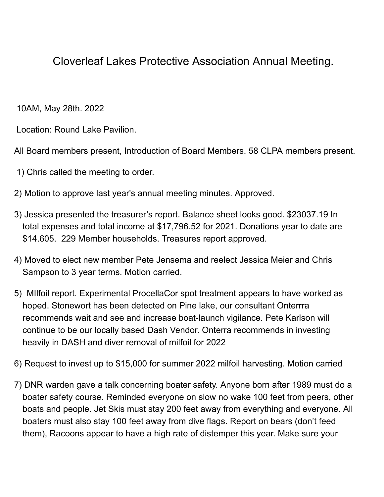## Cloverleaf Lakes Protective Association Annual Meeting.

10AM, May 28th. 2022

Location: Round Lake Pavilion.

All Board members present, Introduction of Board Members. 58 CLPA members present.

- 1) Chris called the meeting to order.
- 2) Motion to approve last year's annual meeting minutes. Approved.
- 3) Jessica presented the treasurer's report. Balance sheet looks good. \$23037.19 In total expenses and total income at \$17,796.52 for 2021. Donations year to date are \$14.605. 229 Member households. Treasures report approved.
- 4) Moved to elect new member Pete Jensema and reelect Jessica Meier and Chris Sampson to 3 year terms. Motion carried.
- 5) MIlfoil report. Experimental ProcellaCor spot treatment appears to have worked as hoped. Stonewort has been detected on Pine lake, our consultant Onterrra recommends wait and see and increase boat-launch vigilance. Pete Karlson will continue to be our locally based Dash Vendor. Onterra recommends in investing heavily in DASH and diver removal of milfoil for 2022
- 6) Request to invest up to \$15,000 for summer 2022 milfoil harvesting. Motion carried
- 7) DNR warden gave a talk concerning boater safety. Anyone born after 1989 must do a boater safety course. Reminded everyone on slow no wake 100 feet from peers, other boats and people. Jet Skis must stay 200 feet away from everything and everyone. All boaters must also stay 100 feet away from dive flags. Report on bears (don't feed them), Racoons appear to have a high rate of distemper this year. Make sure your